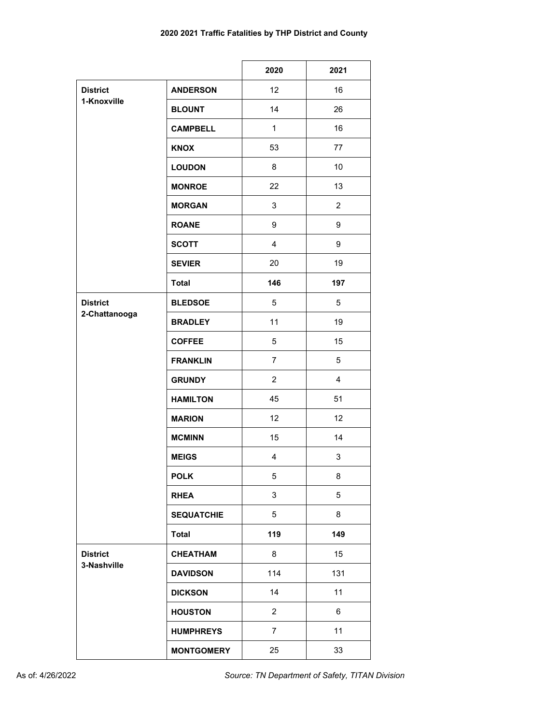|                                  |                   | 2020           | 2021           |
|----------------------------------|-------------------|----------------|----------------|
| <b>District</b><br>1-Knoxville   | <b>ANDERSON</b>   | 12             | 16             |
|                                  | <b>BLOUNT</b>     | 14             | 26             |
|                                  | <b>CAMPBELL</b>   | $\mathbf{1}$   | 16             |
|                                  | <b>KNOX</b>       | 53             | 77             |
|                                  | <b>LOUDON</b>     | 8              | 10             |
|                                  | <b>MONROE</b>     | 22             | 13             |
|                                  | <b>MORGAN</b>     | 3              | $\overline{2}$ |
|                                  | <b>ROANE</b>      | 9              | 9              |
|                                  | <b>SCOTT</b>      | 4              | 9              |
|                                  | <b>SEVIER</b>     | 20             | 19             |
|                                  | <b>Total</b>      | 146            | 197            |
| <b>District</b><br>2-Chattanooga | <b>BLEDSOE</b>    | 5              | 5              |
|                                  | <b>BRADLEY</b>    | 11             | 19             |
|                                  | <b>COFFEE</b>     | 5              | 15             |
|                                  | <b>FRANKLIN</b>   | $\overline{7}$ | 5              |
|                                  | <b>GRUNDY</b>     | $\overline{2}$ | $\overline{4}$ |
|                                  | <b>HAMILTON</b>   | 45             | 51             |
|                                  | <b>MARION</b>     | 12             | 12             |
|                                  | <b>MCMINN</b>     | 15             | 14             |
|                                  | <b>MEIGS</b>      | 4              | 3              |
|                                  | <b>POLK</b>       | 5              | 8              |
|                                  | <b>RHEA</b>       | 3              | 5              |
|                                  | <b>SEQUATCHIE</b> | 5              | 8              |
|                                  | <b>Total</b>      | 119            | 149            |
| <b>District</b>                  | <b>CHEATHAM</b>   | 8              | 15             |
| 3-Nashville                      | <b>DAVIDSON</b>   | 114            | 131            |
|                                  | <b>DICKSON</b>    | 14             | 11             |
|                                  | <b>HOUSTON</b>    | $\overline{2}$ | 6              |
|                                  | <b>HUMPHREYS</b>  | $\overline{7}$ | 11             |
|                                  | <b>MONTGOMERY</b> | 25             | 33             |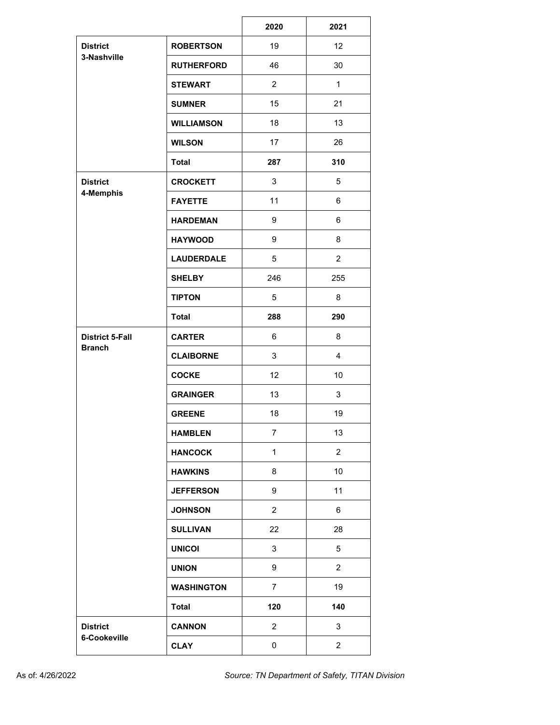|                                 |                   | 2020           | 2021           |
|---------------------------------|-------------------|----------------|----------------|
| <b>District</b><br>3-Nashville  | <b>ROBERTSON</b>  | 19             | 12             |
|                                 | <b>RUTHERFORD</b> | 46             | 30             |
|                                 | <b>STEWART</b>    | $\overline{2}$ | $\mathbf{1}$   |
|                                 | <b>SUMNER</b>     | 15             | 21             |
|                                 | <b>WILLIAMSON</b> | 18             | 13             |
|                                 | <b>WILSON</b>     | 17             | 26             |
|                                 | <b>Total</b>      | 287            | 310            |
| <b>District</b><br>4-Memphis    | <b>CROCKETT</b>   | 3              | 5              |
|                                 | <b>FAYETTE</b>    | 11             | 6              |
|                                 | <b>HARDEMAN</b>   | 9              | 6              |
|                                 | <b>HAYWOOD</b>    | 9              | 8              |
|                                 | <b>LAUDERDALE</b> | 5              | $\overline{2}$ |
|                                 | <b>SHELBY</b>     | 246            | 255            |
|                                 | <b>TIPTON</b>     | 5              | 8              |
|                                 | <b>Total</b>      | 288            | 290            |
| <b>District 5-Fall</b>          | <b>CARTER</b>     | 6              | 8              |
| <b>Branch</b>                   | <b>CLAIBORNE</b>  | 3              | 4              |
|                                 | <b>COCKE</b>      | 12             | 10             |
|                                 | <b>GRAINGER</b>   | 13             | 3              |
|                                 | <b>GREENE</b>     | 18             | 19             |
|                                 | <b>HAMBLEN</b>    | 7              | 13             |
|                                 | <b>HANCOCK</b>    | $\mathbf{1}$   | $\overline{2}$ |
|                                 | <b>HAWKINS</b>    | 8              | 10             |
|                                 | <b>JEFFERSON</b>  | 9              | 11             |
|                                 | <b>JOHNSON</b>    | $\overline{2}$ | 6              |
|                                 | <b>SULLIVAN</b>   | 22             | 28             |
|                                 | <b>UNICOI</b>     | 3              | 5              |
|                                 | <b>UNION</b>      | 9              | $\overline{2}$ |
|                                 | <b>WASHINGTON</b> | $\overline{7}$ | 19             |
|                                 | <b>Total</b>      | 120            | 140            |
| <b>District</b><br>6-Cookeville | <b>CANNON</b>     | $\overline{2}$ | 3              |
|                                 | <b>CLAY</b>       | 0              | $\overline{2}$ |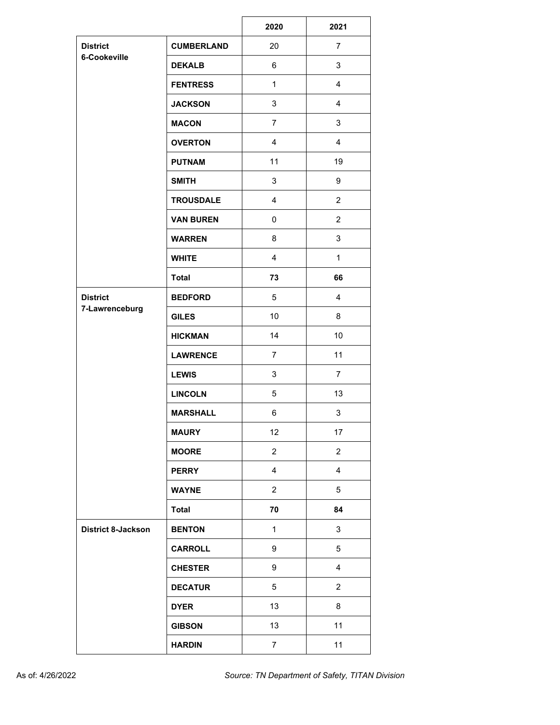|                                 |                   | 2020              | 2021           |
|---------------------------------|-------------------|-------------------|----------------|
| <b>District</b><br>6-Cookeville | <b>CUMBERLAND</b> | 20                | $\overline{7}$ |
|                                 | <b>DEKALB</b>     | 6                 | 3              |
|                                 | <b>FENTRESS</b>   | $\mathbf{1}$      | 4              |
|                                 | <b>JACKSON</b>    | 3                 | 4              |
|                                 | <b>MACON</b>      | $\overline{7}$    | 3              |
|                                 | <b>OVERTON</b>    | $\overline{4}$    | 4              |
|                                 | <b>PUTNAM</b>     | 11                | 19             |
|                                 | <b>SMITH</b>      | 3                 | 9              |
|                                 | <b>TROUSDALE</b>  | 4                 | $\overline{c}$ |
|                                 | <b>VAN BUREN</b>  | $\mathbf 0$       | $\overline{2}$ |
|                                 | <b>WARREN</b>     | 8                 | 3              |
|                                 | <b>WHITE</b>      | 4                 | $\mathbf 1$    |
|                                 | <b>Total</b>      | 73                | 66             |
| <b>District</b>                 | <b>BEDFORD</b>    | 5                 | $\overline{4}$ |
| 7-Lawrenceburg                  | <b>GILES</b>      | 10                | 8              |
|                                 | <b>HICKMAN</b>    | 14                | 10             |
|                                 | <b>LAWRENCE</b>   | 7                 | 11             |
|                                 | <b>LEWIS</b>      | 3                 | $\overline{7}$ |
|                                 | <b>LINCOLN</b>    | 5                 | 13             |
|                                 | <b>MARSHALL</b>   | 6                 | 3              |
|                                 | <b>MAURY</b>      | $12 \overline{ }$ | $17 \,$        |
|                                 | <b>MOORE</b>      | $\overline{2}$    | $\overline{2}$ |
|                                 | <b>PERRY</b>      | $\overline{4}$    | $\overline{4}$ |
|                                 | <b>WAYNE</b>      | $\overline{2}$    | 5              |
|                                 | <b>Total</b>      | 70                | 84             |
| <b>District 8-Jackson</b>       | <b>BENTON</b>     | $\mathbf{1}$      | 3              |
|                                 | <b>CARROLL</b>    | 9                 | 5              |
|                                 | <b>CHESTER</b>    | 9                 | $\overline{4}$ |
|                                 | <b>DECATUR</b>    | 5                 | $\overline{2}$ |
|                                 | <b>DYER</b>       | 13                | 8              |
|                                 | <b>GIBSON</b>     | 13                | 11             |
|                                 | <b>HARDIN</b>     | $\overline{7}$    | 11             |